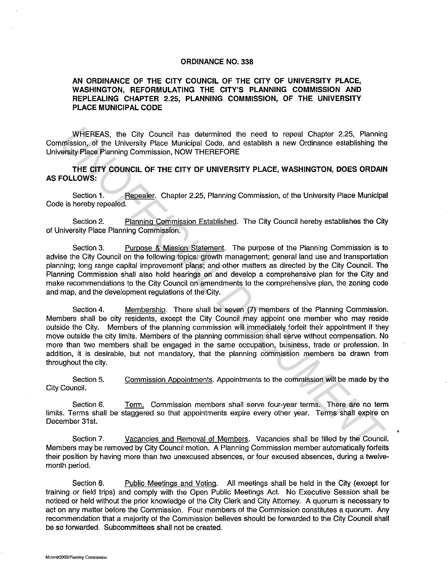## **ORDINANCE NO. 338**

## **AN ORDINANCE OF THE CITY COUNCIL OF THE CITY OF UNIVERSITY PLACE, WASHINGTON, REFORMULATING THE CITY'S PLANNING COMMISSION AND REPLEALING CHAPTER 2.25, PLANNING COMMISSION, OF THE UNIVERSITY PLACE MUNICIPAL CODE**

WHEREAS, the City Council has determined the need to repeal Chapter 2.25, Planning Commission, of the University Place Municipal Code, and establish a new Ordinance establishing the University Place Planning Commission, NOW THEREFORE

**THE CITY COUNCIL OF THE CITY OF UNIVERSITY PLACE, WASHINGTON, DOES ORDAIN AS FOLLOWS:** 

Section 1. Repealer. Chapter 2.25, Planning Commission, of the University Place Municipal Code is hereby repealed.

Section 2. Planning Commission Established. The City Council hereby establishes the City of University Place Planning Commission.

Section 3. Purpose & Mission Statement. The purpose of the Planning Commission is to advise the City Council on the following topics: growth management; general land use and transportation planning; long range capital improvement plans; and other matters as directed by the City Council. The Planning Commission shall also hold hearings on and develop a comprehensive plan for the City and make recommendations to the City Council on amendments to the comprehensive plan, the zoning code and map, and the development regulations of the City.

Section 4. Membership. There shall be seven (7) members of the Planning Commission. Members shall be city residents, except the City Council may appoint one member who may reside outside the City. Members of the planning commission will immediately forfeit their appointment if they move outside the city limits. Members of the planning commission shall serve without compensation. No more than two members shall be engaged in the same occupation, business, trade or profession. In addition, it is desirable, but not mandatory, that the planning commission members be drawn from throughout the city. WHEREAS, the City Council has determined the need to repeal Chapter 2.25, Planning<br>
mission, of the University Place Municipal Code, and establish a new Ordinance establishing the<br>
ersity Place Planning Commission, NOW THE

Section 5. Commission Appointments. Appointments to the commission will be made by the City Council.

Section 6. Term. Commission members shall serve four-year terms. There are no term limits. Terms shall be staggered so that appointments expire every other year. Terms shall expire on December 31st.

Section 7. Vacancies and Removal of Members. Vacancies shall be filled by the Council. Members may be removed by City Council motion. A Planning Commission member automatically forfeits their position by having more than two unexcused absences, or four excused absences, during a twelvemonth period.

Section 8. Public Meetings and Voting. All meetings shall be held in the City (except for training or field trips) and comply with the Open Public Meetings Act. No Executive Session shall be noticed or held without the prior knowledge of the City Clerk and City Attorney. A quorum is necessary to act on any matter before the Commission. Four members of the Commission constitutes a quorum. Any recommendation that a majority of the Commission believes should be forwarded to the City Council shall be so forwarded. Subcommittees shall not be created.